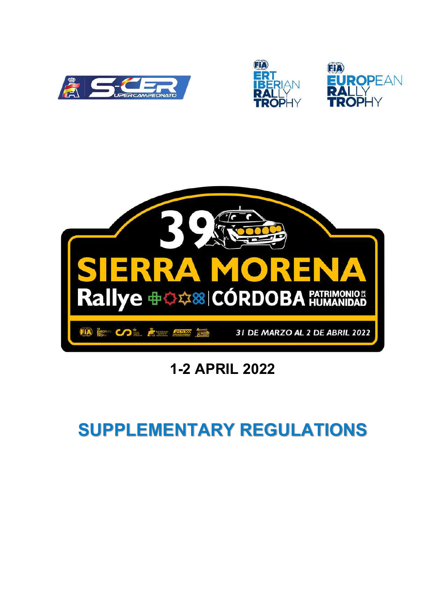







## 1-2 APRIL 2022

# SUPPLEMENTARY REGULATIONS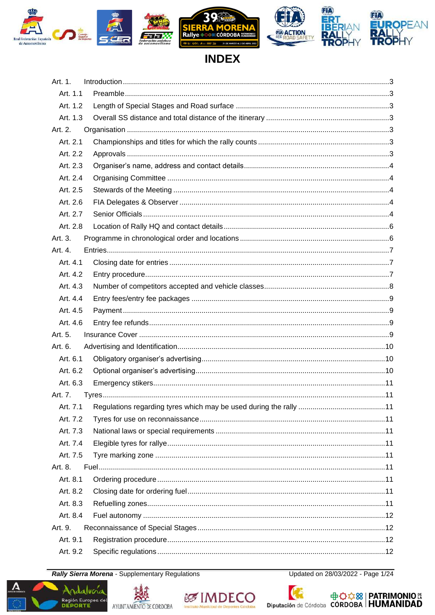

## **INDEX**

| Art. 1.  |  |
|----------|--|
| Art. 1.1 |  |
| Art. 1.2 |  |
| Art. 1.3 |  |
| Art. 2.  |  |
| Art. 2.1 |  |
| Art. 2.2 |  |
| Art. 2.3 |  |
| Art. 2.4 |  |
| Art. 2.5 |  |
| Art. 2.6 |  |
| Art. 2.7 |  |
| Art. 2.8 |  |
| Art. 3.  |  |
| Art. 4.  |  |
| Art. 4.1 |  |
| Art. 4.2 |  |
| Art. 4.3 |  |
| Art. 4.4 |  |
| Art. 4.5 |  |
| Art. 4.6 |  |
| Art. 5.  |  |
| Art. 6.  |  |
| Art. 6.1 |  |
| Art. 6.2 |  |
| Art. 6.3 |  |
| Art. 7.  |  |
|          |  |
| Art. 7.2 |  |
| Art. 7.3 |  |
| Art. 7.4 |  |
| Art. 7.5 |  |
| Art. 8.  |  |
| Art. 8.1 |  |
| Art. 8.2 |  |
| Art. 8.3 |  |
| Art. 8.4 |  |
| Art. 9.  |  |
| Art. 9.1 |  |
|          |  |

**Rally Sierra Morena - Supplementary Regulations** 

**Región Europea del<br>DEPORTE** 

Updated on 28/03/2022 - Page 1/24







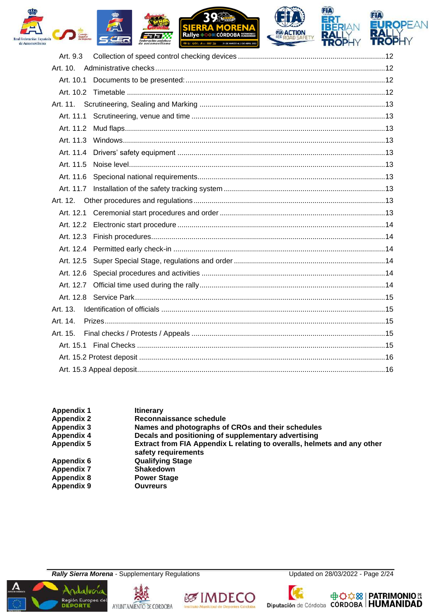



| Art. 9.3  |  |
|-----------|--|
| Art. 10.  |  |
|           |  |
|           |  |
|           |  |
|           |  |
| Art. 11.2 |  |
|           |  |
|           |  |
| Art. 11.5 |  |
|           |  |
|           |  |
|           |  |
|           |  |
|           |  |
|           |  |
|           |  |
|           |  |
|           |  |
|           |  |
|           |  |
| Art. 13.  |  |
| Art. 14.  |  |
| Art. 15.  |  |
|           |  |
|           |  |
|           |  |
|           |  |

| Appendix 1        | <b>Itinerary</b>                                                                               |
|-------------------|------------------------------------------------------------------------------------------------|
| <b>Appendix 2</b> | Reconnaissance schedule                                                                        |
| Appendix 3        | Names and photographs of CROs and their schedules                                              |
| <b>Appendix 4</b> | Decals and positioning of supplementary advertising                                            |
| <b>Appendix 5</b> | Extract from FIA Appendix L relating to overalls, helmets and any other<br>safety requirements |
| Appendix 6        | <b>Qualifying Stage</b>                                                                        |
| <b>Appendix 7</b> | <b>Shakedown</b>                                                                               |
| <b>Appendix 8</b> | <b>Power Stage</b>                                                                             |
| Appendix 9        | <b>Ouvreurs</b>                                                                                |
|                   |                                                                                                |

**Rally Sierra Morena - Supplementary Regulations** 









中<del>章章 33</del> PATRIMONIO Exputación de Córdoba CÓRDOBA HUMANIDAD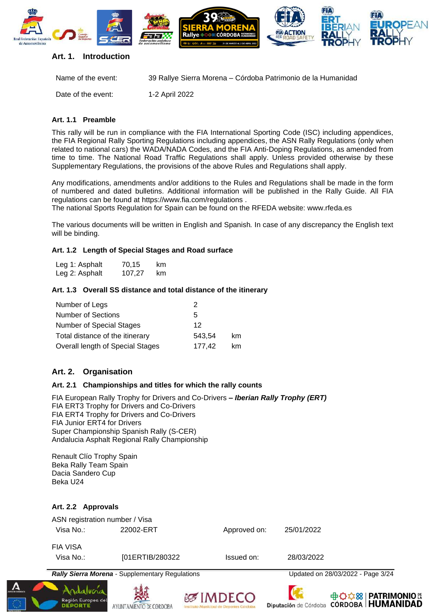

#### <span id="page-3-0"></span>**Art. 1. Introduction**

| Name of the event: | 39 Rallye Sierra Morena – Córdoba Patrimonio de la Humanidad |
|--------------------|--------------------------------------------------------------|
| Date of the event: | 1-2 April 2022                                               |

#### <span id="page-3-1"></span>**Art. 1.1 Preamble**

This rally will be run in compliance with the FIA International Sporting Code (ISC) including appendices, the FIA Regional Rally Sporting Regulations including appendices, the ASN Rally Regulations (only when related to national cars) the WADA/NADA Codes, and the FIA Anti-Doping Regulations, as amended from time to time. The National Road Traffic Regulations shall apply. Unless provided otherwise by these Supplementary Regulations, the provisions of the above Rules and Regulations shall apply.

Any modifications, amendments and/or additions to the Rules and Regulations shall be made in the form of numbered and dated bulletins. Additional information will be published in the Rally Guide. All FIA regulations can be found at<https://www.fia.com/regulations> .

The national Sports Regulation for Spain can be found on the RFEDA website: www.rfeda.es

The various documents will be written in English and Spanish*.* In case of any discrepancy the English text will be binding.

#### <span id="page-3-2"></span>**Art. 1.2 Length of Special Stages and Road surface**

| Leg 1: Asphalt | 70,15  | km |
|----------------|--------|----|
| Leg 2: Asphalt | 107,27 | km |

#### <span id="page-3-3"></span>**Art. 1.3 Overall SS distance and total distance of the itinerary**

| Number of Legs                   | 2      |    |
|----------------------------------|--------|----|
| <b>Number of Sections</b>        | 5      |    |
| Number of Special Stages         | 12     |    |
| Total distance of the itinerary  | 543.54 | km |
| Overall length of Special Stages | 177.42 | km |

#### <span id="page-3-4"></span>**Art. 2. Organisation**

#### <span id="page-3-5"></span>**Art. 2.1 Championships and titles for which the rally counts**

FIA European Rally Trophy for Drivers and Co-Drivers **–** *Iberian Rally Trophy (ERT)* FIA ERT3 Trophy for Drivers and Co-Drivers FIA ERT4 Trophy for Drivers and Co-Drivers FIA Junior ERT4 for Drivers Super Championship Spanish Rally (S-CER) Andalucia Asphalt Regional Rally Championship

Renault Clío Trophy Spain Beka Rally Team Spain Dacia Sandero Cup Beka U24

#### <span id="page-3-6"></span>**Art. 2.2 Approvals**

|                                             | <b>Rally Sierra Morena - Supplementary Regulations</b> |              | Updated on 28/03/2022 - Page 3/24 |
|---------------------------------------------|--------------------------------------------------------|--------------|-----------------------------------|
| <b>FIA VISA</b><br>Visa No.:                | [01ERTIB/280322]                                       | Issued on:   | 28/03/2022                        |
| ASN registration number / Visa<br>Visa No.: | 22002-ERT                                              | Approved on: | 25/01/2022                        |









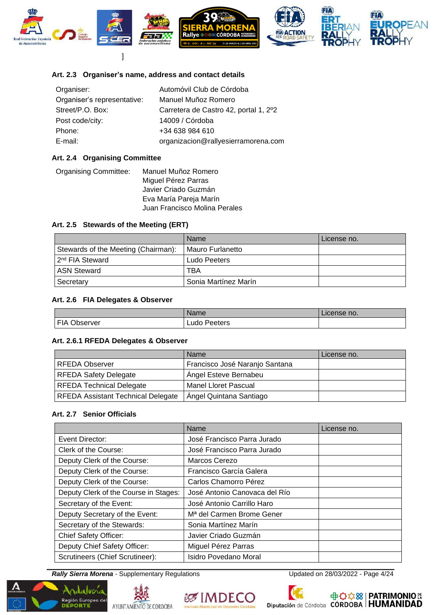

#### <span id="page-4-0"></span>**Art. 2.3 Organiser's name, address and contact details**

| Organiser:                  | Automóvil Club de Córdoba             |
|-----------------------------|---------------------------------------|
| Organiser's representative: | Manuel Muñoz Romero                   |
| Street/P.O. Box:            | Carretera de Castro 42, portal 1, 2°2 |
| Post code/city:             | 14009 / Córdoba                       |
| Phone:                      | +34 638 984 610                       |
| E-mail:                     | organizacion@rallyesierramorena.com   |

#### <span id="page-4-1"></span>**Art. 2.4 Organising Committee**

| Manuel Muñoz Romero           |
|-------------------------------|
| Miguel Pérez Parras           |
| Javier Criado Guzmán          |
| Eva María Pareja Marín        |
| Juan Francisco Molina Perales |
|                               |

#### <span id="page-4-2"></span>**Art. 2.5 Stewards of the Meeting (ERT)**

|                                     | <b>Name</b>          | License no. |
|-------------------------------------|----------------------|-------------|
| Stewards of the Meeting (Chairman): | Mauro Furlanetto     |             |
| 2 <sup>nd</sup> FIA Steward         | Ludo Peeters         |             |
| <b>ASN Steward</b>                  | TBA                  |             |
| Secretary                           | Sonia Martínez Marín |             |

#### <span id="page-4-3"></span>**Art. 2.6 FIA Delegates & Observer**

|                 | Name            | License no. |
|-----------------|-----------------|-------------|
| FIA<br>Observer | Peeters<br>Ludo |             |

#### **Art. 2.6.1 RFEDA Delegates & Observer**

|                                           | Name                           | License no. |
|-------------------------------------------|--------------------------------|-------------|
| <b>RFEDA Observer</b>                     | Francisco José Naranjo Santana |             |
| <b>RFEDA Safety Delegate</b>              | Angel Esteve Bernabeu          |             |
| <b>RFEDA Technical Delegate</b>           | Manel Lloret Pascual           |             |
| <b>RFEDA Assistant Technical Delegate</b> | Angel Quintana Santiago        |             |

#### <span id="page-4-4"></span>**Art. 2.7 Senior Officials**

|                                       | Name                                  | License no. |
|---------------------------------------|---------------------------------------|-------------|
| Event Director:                       | José Francisco Parra Jurado           |             |
| Clerk of the Course:                  | José Francisco Parra Jurado           |             |
| Deputy Clerk of the Course:           | Marcos Cerezo                         |             |
| Deputy Clerk of the Course:           | Francisco García Galera               |             |
| Deputy Clerk of the Course:           | Carlos Chamorro Pérez                 |             |
| Deputy Clerk of the Course in Stages: | José Antonio Canovaca del Río         |             |
| Secretary of the Event:               | José Antonio Carrillo Haro            |             |
| Deputy Secretary of the Event:        | M <sup>a</sup> del Carmen Brome Gener |             |
| Secretary of the Stewards:            | Sonia Martínez Marín                  |             |
| <b>Chief Safety Officer:</b>          | Javier Criado Guzmán                  |             |
| Deputy Chief Safety Officer:          | Miguel Pérez Parras                   |             |
| Scrutineers (Chief Scrutineer):       | Isidro Povedano Moral                 |             |

**Rally Sierra Morena** - Supplementary Regulations Updated on 28/03/2022 - Page 4/24









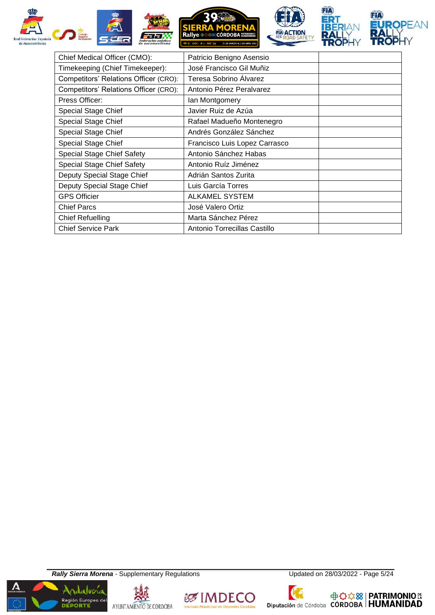

| Chief Medical Officer (CMO):          | Patricio Benigno Asensio      |
|---------------------------------------|-------------------------------|
| Timekeeping (Chief Timekeeper):       | José Francisco Gil Muñiz      |
| Competitors' Relations Officer (CRO): | <b>Teresa Sobrino Alvarez</b> |
| Competitors' Relations Officer (CRO): | Antonio Pérez Peralvarez      |
| Press Officer:                        | lan Montgomery                |
| Special Stage Chief                   | Javier Ruiz de Azúa           |
| <b>Special Stage Chief</b>            | Rafael Madueño Montenegro     |
| Special Stage Chief                   | Andrés González Sánchez       |
| <b>Special Stage Chief</b>            | Francisco Luis Lopez Carrasco |
| Special Stage Chief Safety            | Antonio Sánchez Habas         |
| Special Stage Chief Safety            | Antonio Ruíz Jiménez          |
| Deputy Special Stage Chief            | Adrián Santos Zurita          |
| Deputy Special Stage Chief            | Luis García Torres            |
| <b>GPS Officier</b>                   | <b>ALKAMEL SYSTEM</b>         |
| <b>Chief Parcs</b>                    | José Valero Ortiz             |
| <b>Chief Refuelling</b>               | Marta Sánchez Pérez           |
| <b>Chief Service Park</b>             | Antonio Torrecillas Castillo  |

**Rally Sierra Morena** - Supplementary Regulations Updated on 28/03/2022 - Page 5/24











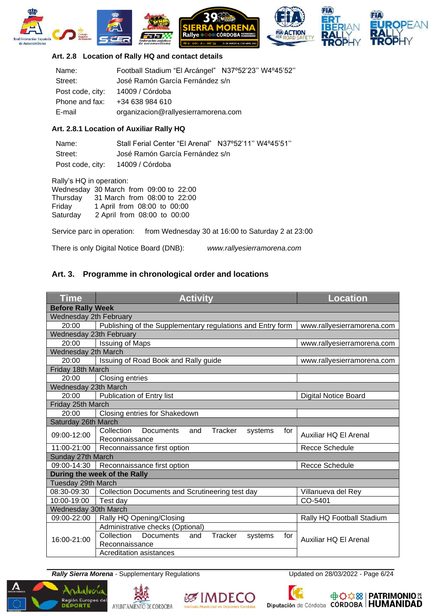









#### <span id="page-6-0"></span>**Art. 2.8 Location of Rally HQ and contact details**

| Name:            | Football Stadium "El Arcángel" N37°52'23" W4°45'52" |  |
|------------------|-----------------------------------------------------|--|
| Street:          | José Ramón García Fernández s/n                     |  |
| Post code, city: | 14009 / Córdoba                                     |  |
| Phone and fax:   | +34 638 984 610                                     |  |
| E-mail           | organizacion@rallyesierramorena.com                 |  |

#### **Art. 2.8.1 Location of Auxiliar Rally HQ**

| Name:   | Stall Ferial Center "El Arenal" N37°52'11" W4°45'51" |  |
|---------|------------------------------------------------------|--|
| Street: | José Ramón García Fernández s/n                      |  |
|         | Post code, city: 14009 / Córdoba                     |  |

Rally's HQ in operation:

| Wednesday 30 March from 09:00 to 22:00 |                              |  |  |
|----------------------------------------|------------------------------|--|--|
| Thursday                               | 31 March from 08:00 to 22:00 |  |  |
| Friday                                 | 1 April from 08:00 to 00:00  |  |  |
| Saturday                               | 2 April from 08:00 to 00:00  |  |  |

Service parc in operation: from Wednesday 30 at 16:00 to Saturday 2 at 23:00

There is only Digital Notice Board (DNB): *www.rallyesierramorena.com*

## <span id="page-6-1"></span>**Art. 3. Programme in chronological order and locations**

| <b>Time</b>                  | <b>Activity</b>                                                                      | <b>Location</b>             |  |
|------------------------------|--------------------------------------------------------------------------------------|-----------------------------|--|
| <b>Before Rally Week</b>     |                                                                                      |                             |  |
| Wednesday 2th February       |                                                                                      |                             |  |
| 20:00                        | Publishing of the Supplementary regulations and Entry form                           | www.rallyesierramorena.com  |  |
| Wednesday 23th February      |                                                                                      |                             |  |
| 20:00                        | <b>Issuing of Maps</b>                                                               | www.rallyesierramorena.com  |  |
| Wednesday 2th March          |                                                                                      |                             |  |
| 20:00                        | Issuing of Road Book and Rally guide                                                 | www.rallyesierramorena.com  |  |
| Friday 18th March            |                                                                                      |                             |  |
| 20:00                        | <b>Closing entries</b>                                                               |                             |  |
| Wednesday 23th March         |                                                                                      |                             |  |
| 20:00                        | Publication of Entry list                                                            | <b>Digital Notice Board</b> |  |
| Friday 25th March            |                                                                                      |                             |  |
| 20:00                        | Closing entries for Shakedown                                                        |                             |  |
| Saturday 26th March          |                                                                                      |                             |  |
| 09:00-12:00                  | Collection<br><b>Documents</b><br>Tracker<br>and<br>systems<br>for<br>Reconnaissance | Auxiliar HQ El Arenal       |  |
| 11:00-21:00                  | Reconnaissance first option                                                          | <b>Recce Schedule</b>       |  |
| Sunday 27th March            |                                                                                      |                             |  |
|                              | 09:00-14:30   Reconnaissance first option<br><b>Recce Schedule</b>                   |                             |  |
| During the week of the Rally |                                                                                      |                             |  |
| Tuesday 29th March           |                                                                                      |                             |  |
| 08:30-09:30                  | <b>Collection Documents and Scrutineering test day</b><br>Villanueva del Rey         |                             |  |
| 10:00-19:00                  | Test day<br>CO-5401                                                                  |                             |  |
| Wednesday 30th March         |                                                                                      |                             |  |
| 09:00-22:00                  | Rally HQ Opening/Closing                                                             | Rally HQ Football Stadium   |  |
|                              | Administrative checks (Optional)                                                     |                             |  |
| 16:00-21:00                  | Collection<br><b>Documents</b><br><b>Tracker</b><br>and<br>systems<br>for            | Auxiliar HQ El Arenal       |  |
|                              | Reconnaissance                                                                       |                             |  |
|                              | Acreditation asistances                                                              |                             |  |

**Rally Sierra Morena** - Supplementary Regulations Updated on 28/03/2022 - Page 6/24

Región Europea de







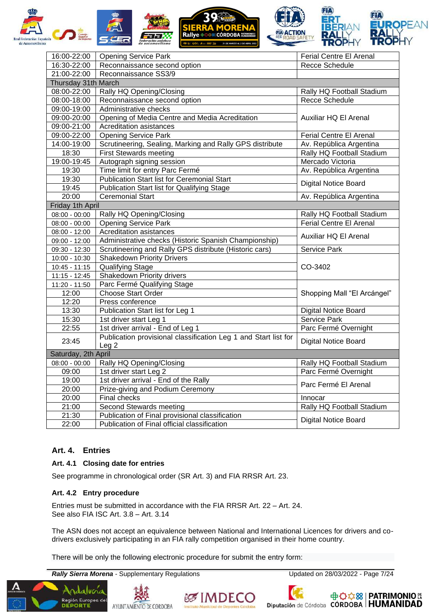

| 16:00-22:00         | <b>Opening Service Park</b>                                     | Ferial Centre El Arenal     |  |
|---------------------|-----------------------------------------------------------------|-----------------------------|--|
| 16:30-22:00         | Reconnaissance second option                                    | <b>Recce Schedule</b>       |  |
| 21:00-22:00         | Reconnaissance SS3/9                                            |                             |  |
| Thursday 31th March |                                                                 |                             |  |
| 08:00-22:00         | Rally HQ Opening/Closing                                        | Rally HQ Football Stadium   |  |
| 08:00-18:00         | Reconnaissance second option                                    | Recce Schedule              |  |
| 09:00-19:00         | Administrative checks                                           |                             |  |
| 09:00-20:00         | Opening of Media Centre and Media Acreditation                  | Auxiliar HQ El Arenal       |  |
| 09:00-21:00         | Acreditation asistances                                         |                             |  |
| 09:00-22:00         | <b>Opening Service Park</b>                                     | Ferial Centre El Arenal     |  |
| 14:00-19:00         | Scrutineering, Sealing, Marking and Rally GPS distribute        | Av. República Argentina     |  |
| 18:30               | <b>First Stewards meeting</b>                                   | Rally HQ Football Stadium   |  |
| 19:00-19:45         | Autograph signing session                                       | Mercado Victoria            |  |
| 19:30               | Time limit for entry Parc Fermé                                 | Av. República Argentina     |  |
| 19:30               | <b>Publication Start list for Ceremonial Start</b>              | <b>Digital Notice Board</b> |  |
| 19:45               | <b>Publication Start list for Qualifying Stage</b>              |                             |  |
| 20:00               | Ceremonial Start                                                | Av. República Argentina     |  |
| Friday 1th April    |                                                                 |                             |  |
| $08:00 - 00:00$     | Rally HQ Opening/Closing                                        | Rally HQ Football Stadium   |  |
| $08:00 - 00:00$     | <b>Opening Service Park</b>                                     | Ferial Centre El Arenal     |  |
| $08:00 - 12:00$     | Acreditation asistances                                         | Auxiliar HQ El Arenal       |  |
| 09:00 - 12:00       | Administrative checks (Historic Spanish Championship)           |                             |  |
| 09:30 - 12:30       | Scrutineering and Rally GPS distribute (Historic cars)          | Service Park                |  |
| 10:00 - 10:30       | <b>Shakedown Priority Drivers</b>                               |                             |  |
| $10:45 - 11:15$     | <b>Qualifying Stage</b>                                         | CO-3402                     |  |
| 11:15 - 12:45       | Shakedown Priority drivers                                      |                             |  |
| 11:20 - 11:50       | Parc Fermé Qualifying Stage                                     |                             |  |
| 12:00               | <b>Choose Start Order</b>                                       | Shopping Mall "El Arcángel" |  |
| $\overline{1}$ 2:20 | Press conference                                                |                             |  |
| 13:30               | Publication Start list for Leg 1                                | <b>Digital Notice Board</b> |  |
| 15:30               | 1st driver start Leg 1                                          | Service Park                |  |
| 22:55               | 1st driver arrival - End of Leg 1                               | Parc Fermé Overnight        |  |
| 23:45               | Publication provisional classification Leg 1 and Start list for | <b>Digital Notice Board</b> |  |
|                     | Leg <sub>2</sub>                                                |                             |  |
| Saturday, 2th April |                                                                 |                             |  |
| $08:00 - 00:00$     | Rally HQ Opening/Closing                                        | Rally HQ Football Stadium   |  |
| 09:00               | 1st driver start Leg 2                                          | Parc Fermé Overnight        |  |
| 19:00               | 1st driver arrival - End of the Rally                           | Parc Fermé El Arenal        |  |
| 20:00               | Prize-giving and Podium Ceremony                                |                             |  |
| 20:00               | <b>Final checks</b>                                             | Innocar                     |  |
| 21:00               | Second Stewards meeting                                         | Rally HQ Football Stadium   |  |
| 21:30               | Publication of Final provisional classification                 | <b>Digital Notice Board</b> |  |
| 22:00               | Publication of Final official classification                    |                             |  |

## <span id="page-7-0"></span>**Art. 4. Entries**

#### <span id="page-7-1"></span>**Art. 4.1 Closing date for entries**

See programme in chronological order (SR Art. 3) and FIA RRSR Art. 23.

#### <span id="page-7-2"></span>**Art. 4.2 Entry procedure**

Entries must be submitted in accordance with the FIA RRSR Art. 22 – Art. 24. See also FIA ISC Art. 3.8 – Art. 3.14

The ASN does not accept an equivalence between National and International Licences for drivers and codrivers exclusively participating in an FIA rally competition organised in their home country.

There will be only the following electronic procedure for submit the entry form:

**Rally Sierra Morena** - Supplementary Regulations Updated on 28/03/2022 - Page 7/24









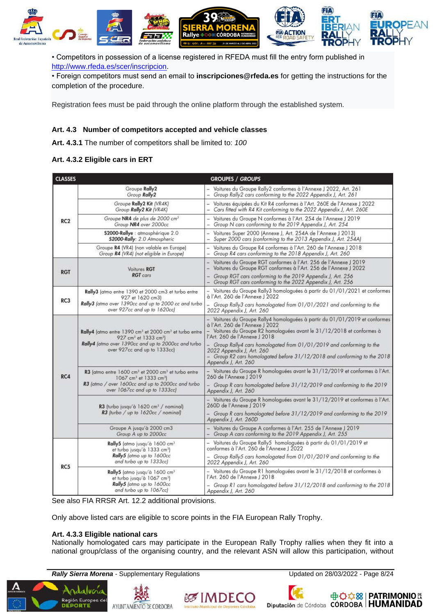

• Competitors in possession of a license registered in RFEDA must fill the entry form published in [http://www.rfeda.es/scer/inscripcion.](http://www.rfeda.es/scer/inscripcion)

• Foreign competitors must send an email to **inscripciones@rfeda.es** for getting the instructions for the completion of the procedure.

Registration fees must be paid through the online platform through the established system.

#### <span id="page-8-0"></span>**Art. 4.3 Number of competitors accepted and vehicle classes**

**Art. 4.3.1** The number of competitors shall be limited to: *100*

#### **Art. 4.3.2 Eligible cars in ERT**

| <b>CLASSES</b>  |                                                                                                                                                                                                                        | <b>GROUPES / GROUPS</b>                                                                                                                                                                                                   |
|-----------------|------------------------------------------------------------------------------------------------------------------------------------------------------------------------------------------------------------------------|---------------------------------------------------------------------------------------------------------------------------------------------------------------------------------------------------------------------------|
| RC <sub>2</sub> | Groupe Rally2<br>Group Rally2                                                                                                                                                                                          | - Voitures du Groupe Rally2 conformes à l'Annexe J 2022, Art. 261<br>- Group Rally2 cars conforming to the 2022 Appendix J, Art. 261                                                                                      |
|                 | Groupe Rally2 Kit (VR4K)<br>Group Rally2 Kit (VR4K)                                                                                                                                                                    | - Voitures équipées du Kit R4 conformes à l'Art. 260E de l'Annexe J 2022<br>- Cars fitted with R4 Kit conforming to the 2022 Appendix J, Art. 260E                                                                        |
|                 | Groupe NR4 de plus de 2000 cm <sup>3</sup><br>Group NR4 over 2000cc                                                                                                                                                    | - Voitures du Groupe N conformes à l'Art. 254 de l'Annexe J 2019<br>Group N cars conforming to the 2019 Appendix J, Art. 254                                                                                              |
|                 | \$2000-Rallye : atmosphérique 2.0<br>S2000-Rally: 2.0 Atmospheric                                                                                                                                                      | - Voitures Super 2000 (Annexe J, Art. 254A de l'Annexe J 2013)<br>Super 2000 cars (conforming to the 2013 Appendix J, Art. 254A)                                                                                          |
|                 | Groupe R4 (VR4) (non valable en Europe)<br>Group R4 (VR4) (not eligible in Europe)                                                                                                                                     | - Voitures du Groupe R4 conformes à l'Art. 260 de l'Annexe J 2018<br>- Group R4 cars conforming to the 2018 Appendix J, Art. 260                                                                                          |
| <b>RGT</b>      | Voitures RGT<br><b>RGT</b> cars                                                                                                                                                                                        | Voitures du Groupe RGT conformes à l'Art. 256 de l'Annexe J 2019<br>- Voitures du Groupe RGT conformes à l'Art. 256 de l'Annexe J 2022                                                                                    |
|                 |                                                                                                                                                                                                                        | - Group RGT cars conforming to the 2019 Appendix J, Art. 256<br>Group RGT cars conforming to the 2022 Appendix J, Art. 256                                                                                                |
| RC3             | Rally3 (atmo entre 1390 et 2000 cm3 et turbo entre<br>927 et 1620 cm3)                                                                                                                                                 | - Voitures du Groupe Rally3 homologuées à partir du 01/01/2021 et conformes<br>à l'Art. 260 de l'Annexe J 2022                                                                                                            |
|                 | Rally3 (atmo over 1390cc and up to 2000 cc and turbo<br>over 927cc and up to 1620cc)                                                                                                                                   | Group Rally3 cars homologated from 01/01/2021 and conforming to the<br>2022 Appendix J, Art. 260                                                                                                                          |
| RC4             | Rally4 (atmo entre 1390 cm <sup>3</sup> et 2000 cm <sup>3</sup> et turbo entre<br>927 cm <sup>3</sup> et 1333 cm <sup>3</sup> )<br>Rally4 (atmo over 1390cc and up to 2000cc and turbo<br>over 927cc and up to 1333cc) | - Voitures du Groupe Rally4 homologuées à partir du 01/01/2019 et conformes<br>à l'Art. 260 de l'Annexe J 2022<br>- Voitures du Groupe R2 homologuées avant le 31/12/2018 et conformes à<br>l'Art. 260 de l'Annexe J 2018 |
|                 |                                                                                                                                                                                                                        | Group Rally4 cars homologated from 01/01/2019 and conforming to the<br>2022 Appendix J. Art. 260<br>Group R2 cars homologated before 31/12/2018 and conforming to the 2018<br>Appendix J, Art. 260                        |
|                 | R3 (atmo entre 1600 cm <sup>1</sup> et 2000 cm <sup>3</sup> et turbo entre<br>1067 cm <sup>3</sup> et 1333 cm <sup>3</sup> )                                                                                           | - Voitures du Groupe R homologuées avant le 31/12/2019 et conformes à l'Art.<br>260 de l'Annexe J 2019                                                                                                                    |
|                 | R3 (atmo / over 1600cc and up to 2000cc and turbo<br>over 1067cc and up to 1333cc)                                                                                                                                     | - Group R cars homologated before 31/12/2019 and conforming to the 2019<br>Appendix J, Art. 260                                                                                                                           |
|                 | R3 (turbo jusqu'à 1620 cm <sup>3</sup> / nominal)<br>R3 (turbo / up to 1620cc / nominal)                                                                                                                               | - Voitures du Groupe R homologuées avant le 31/12/2019 et conformes à l'Art.<br>260D de l'Annexe   2019                                                                                                                   |
|                 |                                                                                                                                                                                                                        | - Group R cars homologated before 31/12/2019 and conforming to the 2019<br>Appendix J, Art. 260D                                                                                                                          |
|                 | Groupe A jusqu'à 2000 cm3<br>Group A up to 2000cc                                                                                                                                                                      | - Voitures du Groupe A conformes à l'Art. 255 de l'Annexe J 2019<br>Group A cars conforming to the 2019 Appendix J, Art. 255                                                                                              |
| RC5             | Rally5 (atmo jusqu'à 1600 cm <sup>3</sup><br>et turbo jusqu'à 1333 cm <sup>3</sup> )                                                                                                                                   | – Voitures du Groupe Rally5  homologuées à partir du 01/01/2019 et<br>conformes à l'Art. 260 de l'Annexe J 2022                                                                                                           |
|                 | Rally5 (atmo up to 1600cc<br>and turbo up to 1333cc)                                                                                                                                                                   | Group Rally5 cars homologated from 01/01/2019 and conforming to the<br>2022 Appendix J, Art. 260                                                                                                                          |
|                 | Rally5 (atmo jusqu'à 1600 cm <sup>3</sup><br>et turbo jusqu'à 1067 cm <sup>3</sup> )                                                                                                                                   | - Voitures du Groupe R1 homologuées avant le 31/12/2018 et conformes à<br>l'Art. 260 de l'Annexe J 2018                                                                                                                   |
|                 | Rally5 (atmo up to 1600cc<br>and turbo up to 1067cc)                                                                                                                                                                   | - Group R1 cars homologated before 31/12/2018 and conforming to the 2018<br>Appendix J, Art. 260                                                                                                                          |

See also FIA RRSR Art. 12.2 additional provisions.

Only above listed cars are eligible to score points in the FIA European Rally Trophy.

#### **Art. 4.3.3 Eligible national cars**

Nationally homologated cars may participate in the European Rally Trophy rallies when they fit into a national group/class of the organising country, and the relevant ASN will allow this participation, without

**Rally Sierra Morena** - Supplementary Regulations **No. 28/03/2022** - Updated on 28/03/2022 - Page 8/24



& IMDEC



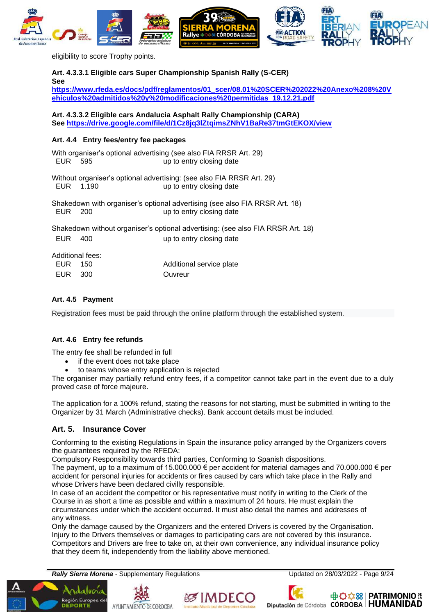

eligibility to score Trophy points.

<span id="page-9-0"></span>**Art. 4.3.3.1 Eligible cars Super Championship Spanish Rally (S-CER) See [https://www.rfeda.es/docs/pdf/reglamentos/01\\_scer/08.01%20SCER%202022%20Anexo%208%20V](https://www.rfeda.es/docs/pdf/reglamentos/01_scer/08.01%20SCER%202022%20Anexo%208%20Vehiculos%20admitidos%20y%20modificaciones%20permitidas_19.12.21.pdf) [ehiculos%20admitidos%20y%20modificaciones%20permitidas\\_19.12.21.pdf](https://www.rfeda.es/docs/pdf/reglamentos/01_scer/08.01%20SCER%202022%20Anexo%208%20Vehiculos%20admitidos%20y%20modificaciones%20permitidas_19.12.21.pdf) Art. 4.3.3.2 Eligible cars Andalucia Asphalt Rally Championship (CARA) See<https://drive.google.com/file/d/1Cz8jq3lZtqimsZNhV1BaRe37tmGtEKOX/view> Art. 4.4 Entry fees/entry fee packages** With organiser's optional advertising (see also FIA RRSR Art. 29) EUR 595 up to entry closing date Without organiser's optional advertising: (see also FIA RRSR Art. 29) EUR 1.190 up to entry closing date Shakedown with organiser's optional advertising (see also FIA RRSR Art. 18) EUR 200 up to entry closing date Shakedown without organiser's optional advertising: (see also FIA RRSR Art. 18) EUR 400 up to entry closing date

|         | <b>Additional fees:</b> |                          |
|---------|-------------------------|--------------------------|
| EUR 150 |                         | Additional service plate |
| EUR 300 |                         | Ouvreur                  |

#### <span id="page-9-1"></span>**Art. 4.5 Payment**

Registration fees must be paid through the online platform through the established system.

#### <span id="page-9-2"></span>**Art. 4.6 Entry fee refunds**

The entry fee shall be refunded in full

- if the event does not take place
- to teams whose entry application is rejected

The organiser may partially refund entry fees, if a competitor cannot take part in the event due to a duly proved case of force majeure.

The application for a 100% refund, stating the reasons for not starting, must be submitted in writing to the Organizer by 31 March (Administrative checks). Bank account details must be included.

#### <span id="page-9-3"></span>**Art. 5. Insurance Cover**

Conforming to the existing Regulations in Spain the insurance policy arranged by the Organizers covers the guarantees required by the RFEDA:

Compulsory Responsibility towards third parties, Conforming to Spanish dispositions.

The payment, up to a maximum of 15.000.000  $\epsilon$  per accident for material damages and 70.000.000  $\epsilon$  per accident for personal injuries for accidents or fires caused by cars which take place in the Rally and whose Drivers have been declared civilly responsible.

In case of an accident the competitor or his representative must notify in writing to the Clerk of the Course in as short a time as possible and within a maximum of 24 hours. He must explain the circumstances under which the accident occurred. It must also detail the names and addresses of any witness.

Only the damage caused by the Organizers and the entered Drivers is covered by the Organisation. Injury to the Drivers themselves or damages to participating cars are not covered by this insurance. Competitors and Drivers are free to take on, at their own convenience, any individual insurance policy that they deem fit, independently from the liability above mentioned.

**Rally Sierra Morena** - Supplementary Regulations Updated on 28/03/2022 - Page 9/24









Diputación de Córdoba CÓRDOBA | HUMANIDAD

**中心な88 | PATRIMONIO &**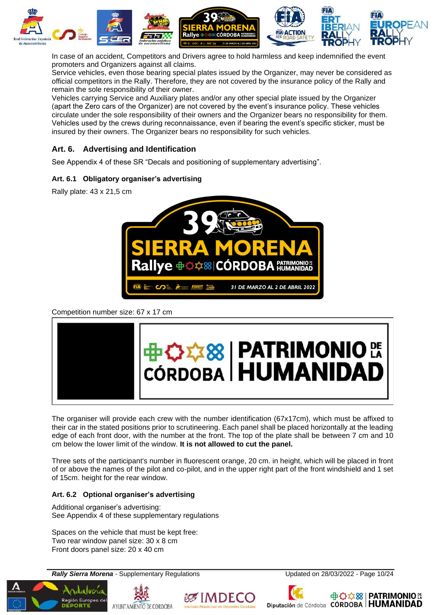

In case of an accident, Competitors and Drivers agree to hold harmless and keep indemnified the event promoters and Organizers against all claims.

Service vehicles, even those bearing special plates issued by the Organizer, may never be considered as official competitors in the Rally. Therefore, they are not covered by the insurance policy of the Rally and remain the sole responsibility of their owner.

Vehicles carrying Service and Auxiliary plates and/or any other special plate issued by the Organizer (apart the Zero cars of the Organizer) are not covered by the event's insurance policy. These vehicles circulate under the sole responsibility of their owners and the Organizer bears no responsibility for them. Vehicles used by the crews during reconnaissance, even if bearing the event's specific sticker, must be insured by their owners. The Organizer bears no responsibility for such vehicles.

## <span id="page-10-0"></span>**Art. 6. Advertising and Identification**

See Appendix 4 of these SR "Decals and positioning of supplementary advertising".

#### <span id="page-10-1"></span>**Art. 6.1 Obligatory organiser's advertising**

Rally plate: 43 x 21,5 cm



Competition number size: 67 x 17 cm



The organiser will provide each crew with the number identification (67x17cm), which must be affixed to their car in the stated positions prior to scrutineering. Each panel shall be placed horizontally at the leading edge of each front door, with the number at the front. The top of the plate shall be between 7 cm and 10 cm below the lower limit of the window. **It is not allowed to cut the panel.**

Three sets of the participant's number in fluorescent orange, 20 cm. in height, which will be placed in front of or above the names of the pilot and co-pilot, and in the upper right part of the front windshield and 1 set of 15cm. height for the rear window.

#### <span id="page-10-2"></span>**Art. 6.2 Optional organiser's advertising**

Additional organiser's advertising: See Appendix 4 of these supplementary regulations

Spaces on the vehicle that must be kept free: Two rear window panel size: 30 x 8 cm Front doors panel size: 20 x 40 cm

**Rally Sierra Morena** - Supplementary Regulations Updated on 28/03/2022 - Page 10/24







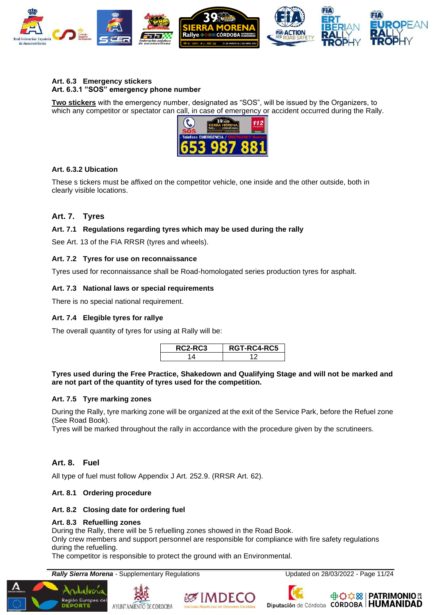

#### **Art. 6.3 Emergency stickers Art. 6.3.1 "SOS" emergency phone number**

**Two stickers** with the emergency number, designated as "SOS", will be issued by the Organizers, to which any competitor or spectator can call, in case of emergency or accident occurred during the Rally.



#### **Art. 6.3.2 Ubication**

These s tickers must be affixed on the competitor vehicle, one inside and the other outside, both in clearly visible locations.

#### <span id="page-11-0"></span>**Art. 7. Tyres**

#### <span id="page-11-1"></span>**Art. 7.1 Regulations regarding tyres which may be used during the rally**

See Art. 13 of the FIA RRSR (tyres and wheels).

#### <span id="page-11-2"></span>**Art. 7.2 Tyres for use on reconnaissance**

Tyres used for reconnaissance shall be Road-homologated series production tyres for asphalt.

#### <span id="page-11-3"></span>**Art. 7.3 National laws or special requirements**

There is no special national requirement.

#### **Art. 7.4 Elegible tyres for rallye**

The overall quantity of tyres for using at Rally will be:

| <b>C2-RC3</b> | RGT-RC4-RC5 |
|---------------|-------------|
|               |             |

#### **Tyres used during the Free Practice, Shakedown and Qualifying Stage and will not be marked and are not part of the quantity of tyres used for the competition.**

#### **Art. 7.5 Tyre marking zones**

During the Rally, tyre marking zone will be organized at the exit of the Service Park, before the Refuel zone (See Road Book).

Tyres will be marked throughout the rally in accordance with the procedure given by the scrutineers.

#### <span id="page-11-4"></span>**Art. 8. Fuel**

All type of fuel must follow Appendix J Art. 252.9. (RRSR Art. 62).

#### <span id="page-11-5"></span>**Art. 8.1 Ordering procedure**

#### <span id="page-11-6"></span>**Art. 8.2 Closing date for ordering fuel**

#### **Art. 8.3 Refuelling zones**

Región Europea de

During the Rally, there will be 5 refuelling zones showed in the Road Book.

Only crew members and support personnel are responsible for compliance with fire safety regulations during the refuelling.

The competitor is responsible to protect the ground with an Environmental.

**Rally Sierra Morena** - Supplementary Regulations Updated on 28/03/2022 - Page 11/24







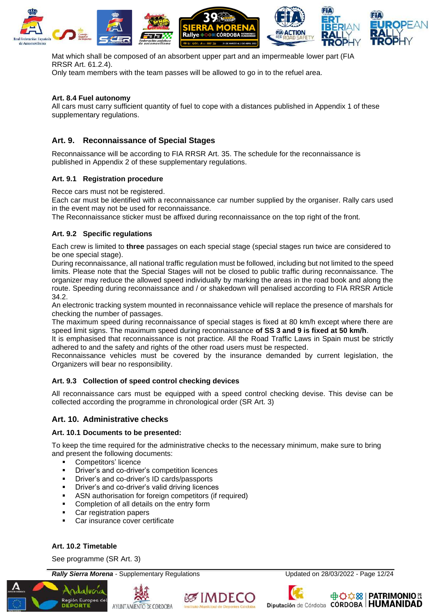

Mat which shall be composed of an absorbent upper part and an impermeable lower part (FIA RRSR Art. 61.2.4).

Only team members with the team passes will be allowed to go in to the refuel area.

#### **Art. 8.4 Fuel autonomy**

All cars must carry sufficient quantity of fuel to cope with a distances published in Appendix 1 of these supplementary regulations.

#### <span id="page-12-0"></span>**Art. 9. Reconnaissance of Special Stages**

Reconnaissance will be according to FIA RRSR Art. 35. The schedule for the reconnaissance is published in Appendix 2 of these supplementary regulations.

#### <span id="page-12-1"></span>**Art. 9.1 Registration procedure**

Recce cars must not be registered.

Each car must be identified with a reconnaissance car number supplied by the organiser. Rally cars used in the event may not be used for reconnaissance.

The Reconnaissance sticker must be affixed during reconnaissance on the top right of the front.

#### <span id="page-12-2"></span>**Art. 9.2 Specific regulations**

Each crew is limited to **three** passages on each special stage (special stages run twice are considered to be one special stage).

During reconnaissance, all national traffic regulation must be followed, including but not limited to the speed limits. Please note that the Special Stages will not be closed to public traffic during reconnaissance. The organizer may reduce the allowed speed individually by marking the areas in the road book and along the route. Speeding during reconnaissance and / or shakedown will penalised according to FIA RRSR Article 34.2.

An electronic tracking system mounted in reconnaissance vehicle will replace the presence of marshals for checking the number of passages.

The maximum speed during reconnaissance of special stages is fixed at 80 km/h except where there are speed limit signs. The maximum speed during reconnaissance **of SS 3 and 9 is fixed at 50 km/h**.

It is emphasised that reconnaissance is not practice. All the Road Traffic Laws in Spain must be strictly adhered to and the safety and rights of the other road users must be respected.

Reconnaissance vehicles must be covered by the insurance demanded by current legislation, the Organizers will bear no responsibility.

#### <span id="page-12-3"></span>**Art. 9.3 Collection of speed control checking devices**

All reconnaissance cars must be equipped with a speed control checking devise. This devise can be collected according the programme in chronological order (SR Art. 3)

#### <span id="page-12-4"></span>**Art. 10. Administrative checks**

#### <span id="page-12-5"></span>**Art. 10.1 Documents to be presented:**

To keep the time required for the administrative checks to the necessary minimum, make sure to bring and present the following documents:

- Competitors' licence
- **•** Driver's and co-driver's competition licences
- Driver's and co-driver's ID cards/passports
- Driver's and co-driver's valid driving licences
- ASN authorisation for foreign competitors (if required)
- Completion of all details on the entry form
- Car registration papers
- Car insurance cover certificate

#### <span id="page-12-6"></span>**Art. 10.2 Timetable**

See programme (SR Art. 3)

**Rally Sierra Morena** - Supplementary Regulations Updated on 28/03/2022 - Page 12/24









Diputación de Córdoba CÓRDOBA | HUMANIDAD

**中心☆88 | PATRIMONIO EA**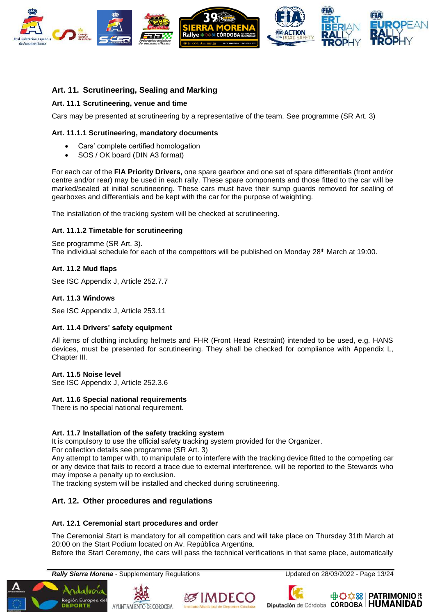

#### <span id="page-13-0"></span>**Art. 11. Scrutineering, Sealing and Marking**

#### <span id="page-13-1"></span>**Art. 11.1 Scrutineering, venue and time**

Cars may be presented at scrutineering by a representative of the team. See programme (SR Art. 3)

#### **Art. 11.1.1 Scrutineering, mandatory documents**

- Cars' complete certified homologation
- SOS / OK board (DIN A3 format)

For each car of the **FIA Priority Drivers,** one spare gearbox and one set of spare differentials (front and/or centre and/or rear) may be used in each rally. These spare components and those fitted to the car will be marked/sealed at initial scrutineering. These cars must have their sump guards removed for sealing of gearboxes and differentials and be kept with the car for the purpose of weighting.

The installation of the tracking system will be checked at scrutineering.

#### **Art. 11.1.2 Timetable for scrutineering**

See programme (SR Art. 3). The individual schedule for each of the competitors will be published on Monday  $28<sup>th</sup>$  March at 19:00.

#### <span id="page-13-2"></span>**Art. 11.2 Mud flaps**

See ISC Appendix J, Article 252.7.7

#### <span id="page-13-3"></span>**Art. 11.3 Windows**

See ISC Appendix J, Article 253.11

#### <span id="page-13-4"></span>**Art. 11.4 Drivers' safety equipment**

All items of clothing including helmets and FHR (Front Head Restraint) intended to be used, e.g. HANS devices, must be presented for scrutineering. They shall be checked for compliance with Appendix L, Chapter III.

#### **Art. 11.5 Noise level**

See ISC Appendix J, Article 252.3.6

#### **Art. 11.6 Special national requirements**

There is no special national requirement.

#### **Art. 11.7 Installation of the safety tracking system**

It is compulsory to use the official safety tracking system provided for the Organizer.

For collection details see programme (SR Art. 3)

Any attempt to tamper with, to manipulate or to interfere with the tracking device fitted to the competing car or any device that fails to record a trace due to external interference, will be reported to the Stewards who may impose a penalty up to exclusion.

The tracking system will be installed and checked during scrutineering.

#### <span id="page-13-5"></span>**Art. 12. Other procedures and regulations**

#### <span id="page-13-6"></span>**Art. 12.1 Ceremonial start procedures and order**

The Ceremonial Start is mandatory for all competition cars and will take place on Thursday 31th March at 20:00 on the Start Podium located on Av. República Argentina.

Before the Start Ceremony, the cars will pass the technical verifications in that same place, automatically

**Rally Sierra Morena** - Supplementary Regulations Updated on 28/03/2022 - Page 13/24









Diputación de Córdoba CÓRDOBA | HUMANIDAD

**中心な8 | PATRIMONIO EX**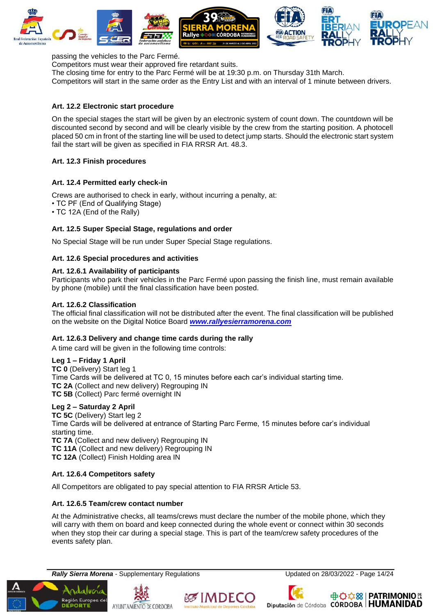

passing the vehicles to the Parc Fermé.

Competitors must wear their approved fire retardant suits.

The closing time for entry to the Parc Fermé will be at 19:30 p.m. on Thursday 31th March.

Competitors will start in the same order as the Entry List and with an interval of 1 minute between drivers.

#### <span id="page-14-0"></span>**Art. 12.2 Electronic start procedure**

On the special stages the start will be given by an electronic system of count down. The countdown will be discounted second by second and will be clearly visible by the crew from the starting position. A photocell placed 50 cm in front of the starting line will be used to detect jump starts. Should the electronic start system fail the start will be given as specified in FIA RRSR Art. 48.3.

#### <span id="page-14-1"></span>**Art. 12.3 Finish procedures**

#### <span id="page-14-2"></span>**Art. 12.4 Permitted early check-in**

Crews are authorised to check in early, without incurring a penalty, at:

- TC PF (End of Qualifying Stage)
- TC 12A (End of the Rally)

#### <span id="page-14-3"></span>**Art. 12.5 Super Special Stage, regulations and order**

No Special Stage will be run under Super Special Stage regulations.

#### <span id="page-14-4"></span>**Art. 12.6 Special procedures and activities**

#### **Art. 12.6.1 Availability of participants**

Participants who park their vehicles in the Parc Fermé upon passing the finish line, must remain available by phone (mobile) until the final classification have been posted.

#### **Art. 12.6.2 Classification**

The official final classification will not be distributed after the event. The final classification will be published on the website on the Digital Notice Board *[www.rallyesierramorena.com](http://www.rallyesierramorena.com/)*

#### **Art. 12.6.3 Delivery and change time cards during the rally**

A time card will be given in the following time controls:

#### **Leg 1 – Friday 1 April**

**TC 0** (Delivery) Start leg 1 Time Cards will be delivered at TC 0, 15 minutes before each car's individual starting time. **TC 2A** (Collect and new delivery) Regrouping IN **TC 5B** (Collect) Parc fermé overnight IN

#### **Leg 2 – Saturday 2 April**

#### **TC 5C** (Delivery) Start leg 2

Time Cards will be delivered at entrance of Starting Parc Ferme, 15 minutes before car's individual starting time.

**TC 7A** (Collect and new delivery) Regrouping IN

**TC 11A** (Collect and new delivery) Regrouping IN

**TC 12A** (Collect) Finish Holding area IN

#### **Art. 12.6.4 Competitors safety**

All Competitors are obligated to pay special attention to FIA RRSR Article 53.

#### **Art. 12.6.5 Team/crew contact number**

At the Administrative checks, all teams/crews must declare the number of the mobile phone, which they will carry with them on board and keep connected during the whole event or connect within 30 seconds when they stop their car during a special stage. This is part of the team/crew safety procedures of the events safety plan.

**Rally Sierra Morena** - Supplementary Regulations Updated on 28/03/2022 - Page 14/24









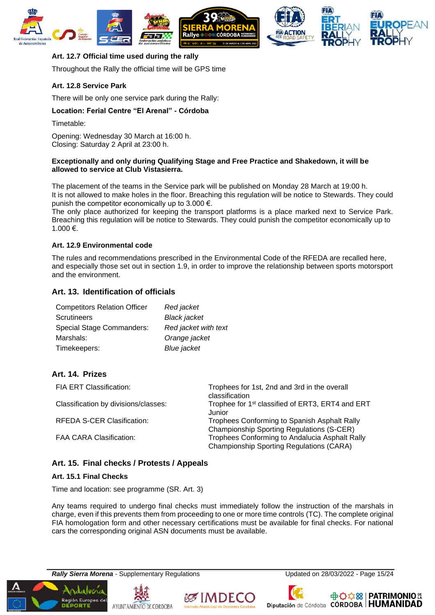

#### <span id="page-15-0"></span>**Art. 12.7 Official time used during the rally**

Throughout the Rally the official time will be GPS time

#### **Art. 12.8 Service Park**

There will be only one service park during the Rally:

#### **Location: Ferial Centre "El Arenal" - Córdoba**

Timetable:

Opening: Wednesday 30 March at 16:00 h. Closing: Saturday 2 April at 23:00 h.

#### **Exceptionally and only during Qualifying Stage and Free Practice and Shakedown, it will be allowed to service at Club Vistasierra.**

The placement of the teams in the Service park will be published on Monday 28 March at 19:00 h. It is not allowed to make holes in the floor. Breaching this regulation will be notice to Stewards. They could punish the competitor economically up to 3.000  $\epsilon$ .

The only place authorized for keeping the transport platforms is a place marked next to Service Park. Breaching this regulation will be notice to Stewards. They could punish the competitor economically up to 1.000 €.

#### **Art. 12.9 Environmental code**

The rules and recommendations prescribed in the Environmental Code of the RFEDA are recalled here, and especially those set out in section 1.9, in order to improve the relationship between sports motorsport and the environment.

#### <span id="page-15-1"></span>**Art. 13. Identification of officials**

| <b>Competitors Relation Officer</b> | Red jacket           |
|-------------------------------------|----------------------|
| <b>Scrutineers</b>                  | <b>Black jacket</b>  |
| <b>Special Stage Commanders:</b>    | Red jacket with text |
| Marshals:                           | Orange jacket        |
| Timekeepers:                        | <b>Blue</b> jacket   |

#### <span id="page-15-2"></span>**Art. 14. Prizes**

| <b>FIA ERT Classification:</b>       | Trophees for 1st, 2nd and 3rd in the overall<br>classification                                   |
|--------------------------------------|--------------------------------------------------------------------------------------------------|
| Classification by divisions/classes: | Trophee for 1 <sup>st</sup> classified of ERT3, ERT4 and ERT<br>Junior                           |
| <b>RFEDA S-CER Clasification:</b>    | Trophees Conforming to Spanish Asphalt Rally<br><b>Championship Sporting Regulations (S-CER)</b> |
| <b>FAA CARA Clasification:</b>       | Trophees Conforming to Andalucia Asphalt Rally<br>Championship Sporting Regulations (CARA)       |

#### <span id="page-15-3"></span>**Art. 15. Final checks / Protests / Appeals**

#### <span id="page-15-4"></span>**Art. 15.1 Final Checks**

Time and location: see programme (SR. Art. 3)

Any teams required to undergo final checks must immediately follow the instruction of the marshals in charge, even if this prevents them from proceeding to one or more time controls (TC). The complete original FIA homologation form and other necessary certifications must be available for final checks. For national cars the corresponding original ASN documents must be available.

**Rally Sierra Morena** - Supplementary Regulations Updated on 28/03/2022 - Page 15/24









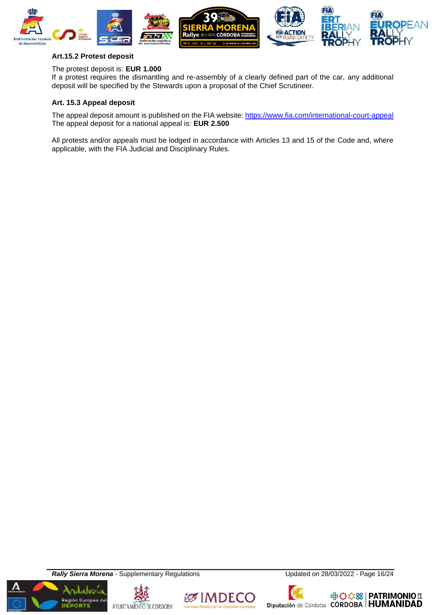

#### <span id="page-16-0"></span>**Art.15.2 Protest deposit**

#### The protest deposit is: **EUR 1.000**

If a protest requires the dismantling and re-assembly of a clearly defined part of the car, any additional deposit will be specified by the Stewards upon a proposal of the Chief Scrutineer.

#### <span id="page-16-1"></span>**Art. 15.3 Appeal deposit**

The appeal deposit amount is published on the FIA website[: https://www.fia.com/international-court-appeal](https://www.fia.com/international-court-appeal) The appeal deposit for a national appeal is: **EUR 2.500**

All protests and/or appeals must be lodged in accordance with Articles 13 and 15 of the Code and, where applicable, with the FIA Judicial and Disciplinary Rules.

**Rally Sierra Morena** - Supplementary Regulations Updated on 28/03/2022 - Page 16/24









Diputación de Córdoba CÓRDOBA | HUMANIDAD

**中心な8 | PATRIMONIO &**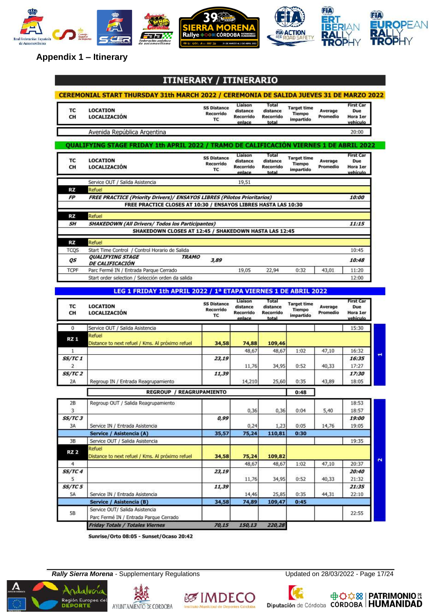

## **Appendix 1 – Itinerary**

#### / ITINERARIO **ITINERARY**

| TC<br>CH              | <b>LOCATION</b><br><b>LOCALIZACIÓN</b>                                                 | <b>SS Distance</b><br><b>Recorrido</b><br>TC | Liaison<br>distance<br>Recorrido<br>enlace        | Total<br>distance<br>Recorrido<br>total        | <b>Target time</b><br>Tiempo<br>impartido        | Average<br>Promedio | <b>First Car</b><br>Due<br>Hora 1er<br>vehículo |
|-----------------------|----------------------------------------------------------------------------------------|----------------------------------------------|---------------------------------------------------|------------------------------------------------|--------------------------------------------------|---------------------|-------------------------------------------------|
|                       | Avenida República Argentina                                                            |                                              |                                                   |                                                |                                                  |                     | 20:00                                           |
|                       | QUALIFYING STAGE FRIDAY 1th APRIL 2022 / TRAMO DE CALIFICACIÓN VIERNES 1 DE ABRIL 2022 |                                              |                                                   |                                                |                                                  |                     |                                                 |
| тс<br>CH              | <b>LOCATION</b><br>LOCALIZACIÓN                                                        | <b>SS Distance</b><br>Recorrido<br>TC        | Liaison<br>distance<br><b>Recorrido</b><br>enlace | Total<br>distance<br>Recorrido<br>total        | <b>Target time</b><br><b>Tiempo</b><br>impartido | Average<br>Promedio | <b>First Car</b><br>Due<br>Hora 1er<br>vehículo |
|                       | Service OUT / Salida Asistencia                                                        |                                              | 19,51                                             |                                                |                                                  |                     |                                                 |
| <b>RZ</b>             | Refuel                                                                                 |                                              |                                                   |                                                |                                                  |                     |                                                 |
| <b>FP</b>             | <b>FREE PRACTICE (Priority Drivers)/ ENSAYOS LIBRES (Pilotos Prioritarios)</b>         |                                              |                                                   |                                                |                                                  |                     | 10:00                                           |
|                       | FREE PRACTICE CLOSES AT 10:30 / ENSAYOS LIBRES HASTA LAS 10:30                         |                                              |                                                   |                                                |                                                  |                     |                                                 |
| RZ                    | Refuel                                                                                 |                                              |                                                   |                                                |                                                  |                     |                                                 |
| <b>SH</b>             | <b>SHAKEDOWN (All Drivers/ Todos los Participantes)</b>                                |                                              |                                                   |                                                |                                                  |                     | 11:15                                           |
|                       | SHAKEDOWN CLOSES AT 12:45 / SHAKEDOWN HASTA LAS 12:45                                  |                                              |                                                   |                                                |                                                  |                     |                                                 |
| RZ                    | Refuel                                                                                 |                                              |                                                   |                                                |                                                  |                     |                                                 |
| <b>TCOS</b>           | Start Time Control / Control Horario de Salida                                         |                                              |                                                   |                                                |                                                  |                     | 10:45                                           |
|                       | <b>OUALIFYING STAGE</b><br><b>TRAMO</b>                                                |                                              |                                                   |                                                |                                                  |                     |                                                 |
| QS                    | <b>DE CALIFICACIÓN</b>                                                                 | 3,89                                         |                                                   |                                                |                                                  |                     | 10:48                                           |
| <b>TCPF</b>           | Parc Fermé IN / Entrada Parque Cerrado                                                 |                                              | 19,05                                             | 22,94                                          | 0:32                                             | 43,01               | 11:20                                           |
|                       | Start order selection / Selección orden da salida                                      |                                              |                                                   |                                                |                                                  |                     | 12:00                                           |
|                       |                                                                                        |                                              |                                                   |                                                |                                                  |                     |                                                 |
|                       | LEG 1 FRIDAY 1th APRIL 2022 / 1ª ETAPA VIERNES 1 DE ABRIL 2022                         |                                              |                                                   |                                                |                                                  |                     |                                                 |
| TC<br>CH              | <b>LOCATION</b><br>LOCALIZACIÓN                                                        | <b>SS Distance</b><br><b>Recorrido</b><br>TC | Liaison<br>distance<br>Recorrido<br>enlace        | Total<br>distance<br><b>Recorrido</b><br>total | <b>Target time</b><br><b>Tiempo</b><br>impartido | Average<br>Promedio | <b>First Car</b><br>Due<br>Hora 1er<br>vehículo |
| 0                     | Service OUT / Salida Asistencia                                                        |                                              |                                                   |                                                |                                                  |                     | 15:30                                           |
|                       | Refuel                                                                                 |                                              |                                                   |                                                |                                                  |                     |                                                 |
| <b>RZ 1</b>           | Distance to next refuel / Kms. Al próximo refuel                                       | 34,58                                        | 74,88                                             | 109,46                                         |                                                  |                     |                                                 |
| 1                     |                                                                                        |                                              | 48,67                                             | 48,67                                          | 1:02                                             | 47,10               | 16:32                                           |
| <i><b>SS/TC 1</b></i> |                                                                                        | 23,19                                        |                                                   |                                                |                                                  |                     | 16:35                                           |
| 2                     |                                                                                        |                                              | 11,76                                             | 34,95                                          | 0:52                                             | 40,33               | 17:27                                           |
| <b>SS/TC 2</b>        |                                                                                        | 11,39                                        |                                                   |                                                |                                                  |                     | 17:30                                           |
| 2A                    | Regroup IN / Entrada Reagrupamiento                                                    |                                              | 14,210                                            | 25,60                                          | 0:35                                             | 43,89               | 18:05                                           |
|                       | <b>REGROUP / REAGRUPAMIENTO</b>                                                        |                                              |                                                   |                                                |                                                  |                     |                                                 |
|                       |                                                                                        |                                              |                                                   |                                                | 0:48                                             |                     |                                                 |
| 2B                    | Regroup OUT / Salida Reagrupamiento                                                    |                                              |                                                   |                                                |                                                  |                     | 18:53                                           |
| 3                     |                                                                                        |                                              | 0,36                                              | 0,36                                           | 0:04                                             | 5.40                | 18:57                                           |
| <b>SS/TC 3</b>        |                                                                                        | 0,99                                         |                                                   |                                                |                                                  |                     | 19:00                                           |
| 3A                    | Service IN / Entrada Asistencia                                                        |                                              | 0,24                                              | 1,23                                           | 0:05                                             | 14,76               | 19:05                                           |
|                       | Service / Asistencia (A)                                                               | 35,57                                        | 75,24                                             | 110,81                                         | 0:30                                             |                     |                                                 |
| 3B                    | Service OUT / Salida Asistencia                                                        |                                              |                                                   |                                                |                                                  |                     | 19:35                                           |
| <b>RZ 2</b>           | Refuel                                                                                 |                                              |                                                   |                                                |                                                  |                     |                                                 |
|                       | Distance to next refuel / Kms. Al próximo refuel                                       | 34,58                                        | 75,24                                             | 109,82                                         |                                                  |                     |                                                 |
| 4                     |                                                                                        |                                              | 48,67                                             | 48,67                                          | 1:02                                             | 47,10               | 20:37                                           |
| <i>SS/TC 4</i>        |                                                                                        | 23,19                                        |                                                   |                                                |                                                  |                     | 20:40                                           |
| 5                     |                                                                                        |                                              | 11,76                                             | 34,95                                          | 0:52                                             | 40,33               | 21:32                                           |
| <i>SS/TC 5</i>        |                                                                                        | 11,39                                        |                                                   |                                                |                                                  |                     | 21:35                                           |
| 5A                    | Service IN / Entrada Asistencia                                                        |                                              | 14,46                                             | 25,85                                          | 0:35                                             | 44,31               | 22:10                                           |
|                       | Service / Asistencia (B)                                                               | 34,58                                        | 74,89                                             | 109,47                                         | 0:45                                             |                     |                                                 |
|                       |                                                                                        |                                              |                                                   |                                                |                                                  |                     |                                                 |
| 5B                    | Service OUT/ Salida Asistencia<br>Parc Fermé IN / Entrada Parque Cerrado               |                                              |                                                   |                                                |                                                  |                     | 22:55                                           |

Friday Totals / Totales Viernes

Sunrise/Orto 08:05 - Sunset/Ocaso 20:42

**Rally Sierra Morena** - Supplementary Regulations Updated on 28/03/2022 - Page 17/24

Región Europea del<br>DEPORTE AYUNTAMIENTO DE CORDOBA





 $70,15$ 

150,13

220,28

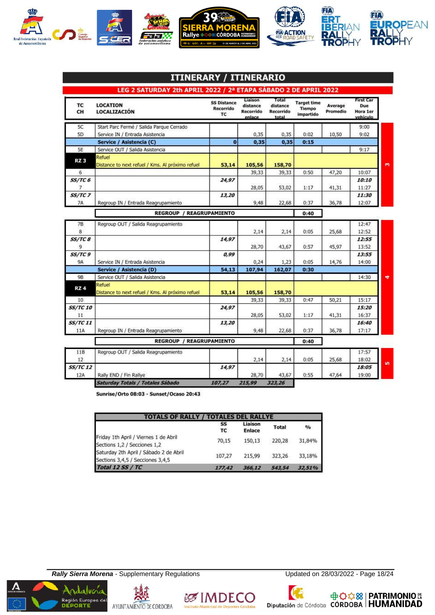

| тс<br>CH                     | <b>LOCATION</b><br><b>LOCALIZACIÓN</b>                     | <b>SS Distance</b><br><b>Recorrido</b><br><b>TC</b> | Liaison<br>distance<br>Recorrido<br>enlace | Total<br>distance<br><b>Recorrido</b><br>total | <b>Target time</b><br><b>Tiempo</b><br>impartido | Average<br>Promedio | <b>First Car</b><br>Due<br>Hora 1er<br>vehículo |  |
|------------------------------|------------------------------------------------------------|-----------------------------------------------------|--------------------------------------------|------------------------------------------------|--------------------------------------------------|---------------------|-------------------------------------------------|--|
| 5C                           | Start Parc Fermé / Salida Parque Cerrado                   |                                                     |                                            |                                                |                                                  |                     | 9:00                                            |  |
| 5D                           | Service IN / Entrada Asistencia                            |                                                     | 0,35                                       | 0,35                                           | 0:02                                             | 10,50               | 9:02                                            |  |
|                              | Service / Asistencia (C)                                   | $\bf{0}$                                            | 0,35                                       | 0,35                                           | 0:15                                             |                     |                                                 |  |
| 5E                           | Service OUT / Salida Asistencia                            |                                                     |                                            |                                                |                                                  |                     | 9:17                                            |  |
| RZ <sub>3</sub>              | Refuel<br>Distance to next refuel / Kms. Al próximo refuel | 53,14                                               | 105,56                                     | 158,70                                         |                                                  |                     |                                                 |  |
| 6                            |                                                            |                                                     | 39,33                                      | 39,33                                          | 0:50                                             | 47,20               | 10:07                                           |  |
| $SS/TC$ 6<br>7               |                                                            | 24,97                                               | 28,05                                      | 53,02                                          | 1:17                                             | 41,31               | 10:10<br>11:27                                  |  |
| $SS/TC$ 7<br><b>7A</b>       | Regroup IN / Entrada Reagrupamiento                        | 13,20                                               | 9,48                                       | 22.68                                          | 0:37                                             | 36,78               | 11:30<br>12:07                                  |  |
|                              | <b>REGROUP / REAGRUPAMIENTO</b>                            |                                                     |                                            |                                                | 0:40                                             |                     |                                                 |  |
| 7B                           | Regroup OUT / Salida Reagrupamiento                        |                                                     |                                            |                                                |                                                  |                     | 12:47                                           |  |
| 8                            |                                                            |                                                     | 2,14                                       | 2,14                                           | 0:05                                             | 25,68               | 12:52                                           |  |
| SS/TC 8                      |                                                            | 14,97                                               |                                            |                                                |                                                  |                     | 12:55                                           |  |
| 9                            |                                                            |                                                     | 28,70                                      | 43,67                                          | 0:57                                             | 45,97               | 13:52                                           |  |
| SS/TC 9                      |                                                            | 0,99                                                |                                            |                                                |                                                  |                     | 13:55                                           |  |
| <b>9A</b>                    | Service IN / Entrada Asistencia                            |                                                     | 0,24                                       | 1,23                                           | 0:05                                             | 14,76               | 14:00                                           |  |
|                              | Service / Asistencia (D)                                   | 54,13                                               | 107,94                                     | 162,07                                         | 0:30                                             |                     |                                                 |  |
| 9B                           | Service OUT / Salida Asistencia                            |                                                     |                                            |                                                |                                                  |                     | 14:30                                           |  |
| RZ4                          | Refuel<br>Distance to next refuel / Kms. Al próximo refuel | 53,14                                               | 105,56                                     | 158,70                                         |                                                  |                     |                                                 |  |
| 10                           |                                                            |                                                     | 39,33                                      | 39,33                                          | 0:47                                             | 50,21               | 15:17                                           |  |
| <i><b>SS/TC 10</b></i><br>11 |                                                            | 24,97                                               | 28,05                                      | 53,02                                          | 1:17                                             | 41,31               | 15:20<br>16:37                                  |  |
| <b>SS/TC11</b>               |                                                            | 13,20                                               |                                            |                                                |                                                  |                     | 16:40                                           |  |
| 11A                          | Regroup IN / Entrada Reagrupamiento                        |                                                     | 9,48                                       | 22,68                                          | 0:37                                             | 36,78               | 17:17                                           |  |
|                              | <b>REGROUP</b>                                             | / REAGRUPAMIENTO                                    |                                            |                                                | 0:40                                             |                     |                                                 |  |
| 118<br>12                    | Regroup OUT / Salida Reagrupamiento                        |                                                     | 2,14                                       | 2,14                                           | 0:05                                             | 25,68               | 17:57<br>18:02                                  |  |
| <i><b>SS/TC 12</b></i>       |                                                            | 14,97                                               |                                            |                                                |                                                  |                     | 18:05                                           |  |
| 12A                          | Rally END / Fin Rallye                                     |                                                     | 28,70                                      | 43,67                                          | 0:55                                             | 47,64               | 19:00                                           |  |
|                              | Saturday Totals / Totales Sábado                           | 107,27                                              | 215,99                                     | 323,26                                         |                                                  |                     |                                                 |  |

Sunrise/Orto 08:03 - Sunset/Ocaso 20:43

| <b>TOTALS OF RALLY / TOTALES DEL RALLYE</b>                                |          |                          |              |               |  |  |
|----------------------------------------------------------------------------|----------|--------------------------|--------------|---------------|--|--|
|                                                                            | SS<br>тc | Liaison<br><b>Enlace</b> | <b>Total</b> | $\frac{9}{6}$ |  |  |
| Friday 1th April / Viernes 1 de Abril<br>Sections 1,2 / Secciones 1,2      | 70,15    | 150.13                   | 220.28       | 31,84%        |  |  |
| Saturday 2th April / Sábado 2 de Abril<br>Sections 3,4,5 / Secciones 3,4,5 | 107,27   | 215.99                   | 323,26       | 33,18%        |  |  |
| <b>Total 12 SS / TC</b>                                                    | 177,42   | 366,12                   | 543,54       | 32,51%        |  |  |

**Rally Sierra Morena** - Supplementary Regulations Updated on 28/03/2022 - Page 18/24



**& IMDECO** 



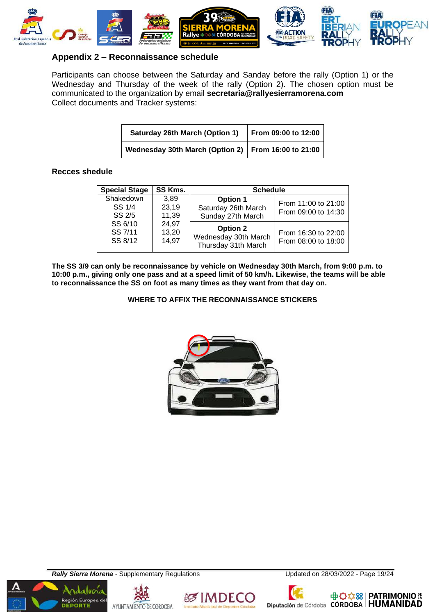

### **Appendix 2 – Reconnaissance schedule**

Participants can choose between the Saturday and Sanday before the rally (Option 1) or the Wednesday and Thursday of the week of the rally (Option 2). The chosen option must be communicated to the organization by email **secretaria@rallyesierramorena.com** Collect documents and Tracker systems:

| <b>Saturday 26th March (Option 1)</b>                 | From 09:00 to 12:00 |
|-------------------------------------------------------|---------------------|
| Wednesday 30th March (Option 2)   From 16:00 to 21:00 |                     |

#### **Recces shedule**

| <b>Special Stage</b>          | SS Kms.                            | <b>Schedule</b>                                                |                                            |  |
|-------------------------------|------------------------------------|----------------------------------------------------------------|--------------------------------------------|--|
| Shakedown<br>SS 1/4<br>SS 2/5 | 3.89<br>23,19<br>11,39             | <b>Option 1</b><br>Saturday 26th March<br>Sunday 27th March    | From 11:00 to 21:00<br>From 09:00 to 14:30 |  |
| SS 7/11<br>SS 8/12            | SS 6/10<br>24,97<br>13,20<br>14,97 | <b>Option 2</b><br>Wednesday 30th March<br>Thursday 31th March | From 16:30 to 22:00<br>From 08:00 to 18:00 |  |

**The SS 3/9 can only be reconnaissance by vehicle on Wednesday 30th March, from 9:00 p.m. to 10:00 p.m., giving only one pass and at a speed limit of 50 km/h. Likewise, the teams will be able to reconnaissance the SS on foot as many times as they want from that day on.**

**WHERE TO AFFIX THE RECONNAISSANCE STICKERS**



**Rally Sierra Morena** - Supplementary Regulations Updated on 28/03/2022 - Page 19/24









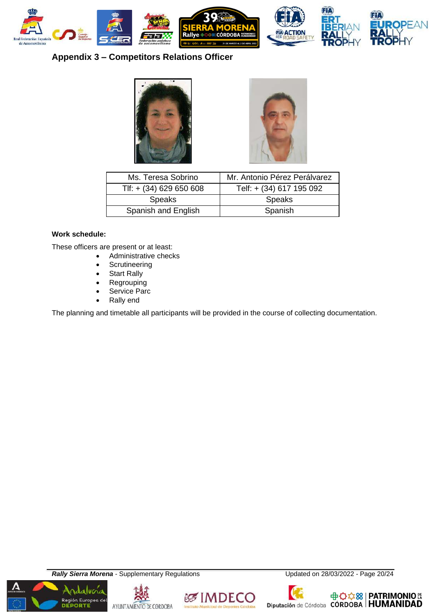

## **Appendix 3 – Competitors Relations Officer**





| Ms. Teresa Sobrino        | Mr. Antonio Pérez Perálvarez |  |  |
|---------------------------|------------------------------|--|--|
| Tlf: $+$ (34) 629 650 608 | Telf: + (34) 617 195 092     |  |  |
| <b>Speaks</b>             | <b>Speaks</b>                |  |  |
| Spanish and English       | Spanish                      |  |  |

#### **Work schedule:**

These officers are present or at least:

- Administrative checks
- **Scrutineering**
- **Start Rally**
- **Regrouping**
- Service Parc
- Rally end

The planning and timetable all participants will be provided in the course of collecting documentation.

**Rally Sierra Morena** - Supplementary Regulations Updated on 28/03/2022 - Page 20/24











中<del>〇☆8</del> | PATRIMONIO ES<br>Diputación de Córdoba CÓRDOBA | HUMANIDAD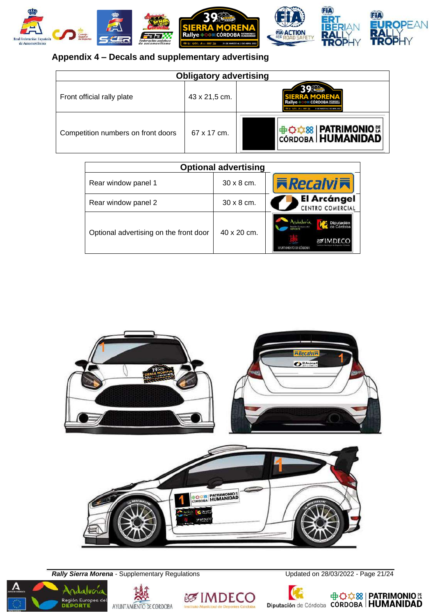

## **Appendix 4 – Decals and supplementary advertising**

| <b>Obligatory advertising</b>      |               |                                                                       |  |  |  |
|------------------------------------|---------------|-----------------------------------------------------------------------|--|--|--|
| Front official rally plate         | 43 x 21,5 cm. | <u>२० स्टिट</u><br><b>IERRA MORENA</b><br>Rallye +008 CÓRDOBA NAMERIA |  |  |  |
| Competition numbers on front doors | 67 x 17 cm.   | <b>+G交8 PATRIMONIO &amp;</b><br>CÓRDOBA <b>HUMANIDAD</b>              |  |  |  |

| <b>Optional advertising</b>            |                   |                                        |  |  |  |  |
|----------------------------------------|-------------------|----------------------------------------|--|--|--|--|
| Rear window panel 1                    | $30 \times 8$ cm. | <b>Kecalvi末</b>                        |  |  |  |  |
| Rear window panel 2                    | $30 \times 8$ cm. | <b>El Arcángel</b><br>CENTRO COMERCIAL |  |  |  |  |
| Optional advertising on the front door | 40 x 20 cm.       | Diputación<br>AYUNTAMENTO DE CÓLDOBA   |  |  |  |  |



**Rally Sierra Morena** - Supplementary Regulations Updated on 28/03/2022 - Page 21/24



Región Europea del







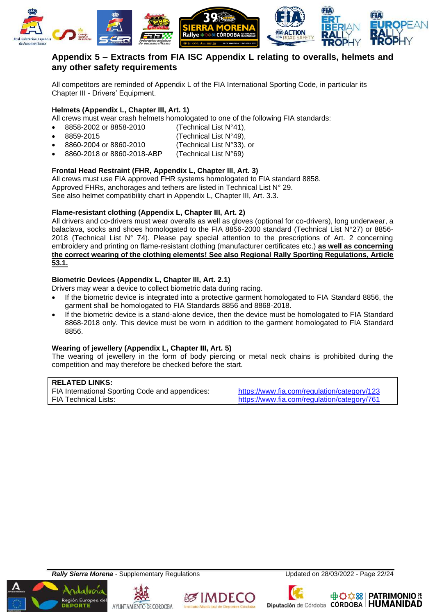

## **Appendix 5 – Extracts from FIA ISC Appendix L relating to overalls, helmets and any other safety requirements**

All competitors are reminded of Appendix L of the FIA International Sporting Code, in particular its Chapter III - Drivers' Equipment.

#### **Helmets (Appendix L, Chapter III, Art. 1)**

All crews must wear crash helmets homologated to one of the following FIA standards:

- 8858-2002 or 8858-2010 (Technical List N°41),
- 8859-2015 (Technical List N°49),
- 8860-2004 or 8860-2010 (Technical List N°33), or
- 8860-2018 or 8860-2018-ABP (Technical List N°69)

## **Frontal Head Restraint (FHR, Appendix L, Chapter III, Art. 3)**

All crews must use FIA approved FHR systems homologated to FIA standard 8858. Approved FHRs, anchorages and tethers are listed in Technical List N° 29. See also helmet compatibility chart in Appendix L, Chapter III, Art. 3.3.

#### **Flame-resistant clothing (Appendix L, Chapter III, Art. 2)**

All drivers and co-drivers must wear overalls as well as gloves (optional for co-drivers), long underwear, a balaclava, socks and shoes homologated to the FIA 8856-2000 standard (Technical List N°27) or 8856- 2018 (Technical List  $N^{\circ}$  74). Please pay special attention to the prescriptions of Art. 2 concerning embroidery and printing on flame-resistant clothing (manufacturer certificates etc.) **as well as concerning the correct wearing of the clothing elements! See also Regional Rally Sporting Regulations, Article 53.1.**

#### **Biometric Devices (Appendix L, Chapter III, Art. 2.1)**

Drivers may wear a device to collect biometric data during racing.

- If the biometric device is integrated into a protective garment homologated to FIA Standard 8856, the garment shall be homologated to FIA Standards 8856 and 8868-2018.
- If the biometric device is a stand-alone device, then the device must be homologated to FIA Standard 8868-2018 only. This device must be worn in addition to the garment homologated to FIA Standard 8856.

#### **Wearing of jewellery (Appendix L, Chapter III, Art. 5)**

The wearing of jewellery in the form of body piercing or metal neck chains is prohibited during the competition and may therefore be checked before the start.

#### **RELATED LINKS:**

FIA International Sporting Code and appendices: <https://www.fia.com/regulation/category/123> FIA Technical Lists: <https://www.fia.com/regulation/category/761>

**Rally Sierra Morena** - Supplementary Regulations Updated on 28/03/2022 - Page 22/24







Diputación de Córdoba CÓRDOBA | HUMANIDAD

**中心な88 | PATRIMONIO &**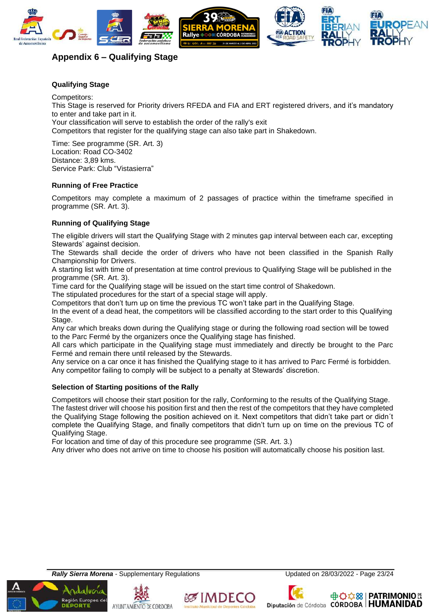

## **Appendix 6 – Qualifying Stage**

#### **Qualifying Stage**

Competitors: This Stage is reserved for Priority drivers RFEDA and FIA and ERT registered drivers, and it's mandatory to enter and take part in it. Your classification will serve to establish the order of the rally's exit Competitors that register for the qualifying stage can also take part in Shakedown.

Time: See programme (SR. Art. 3) Location: Road CO-3402 Distance: 3,89 kms. Service Park: Club "Vistasierra"

#### **Running of Free Practice**

Competitors may complete a maximum of 2 passages of practice within the timeframe specified in programme (SR. Art. 3).

#### **Running of Qualifying Stage**

The eligible drivers will start the Qualifying Stage with 2 minutes gap interval between each car, excepting Stewards' against decision.

The Stewards shall decide the order of drivers who have not been classified in the Spanish Rally Championship for Drivers.

A starting list with time of presentation at time control previous to Qualifying Stage will be published in the programme (SR. Art. 3).

Time card for the Qualifying stage will be issued on the start time control of Shakedown.

The stipulated procedures for the start of a special stage will apply.

Competitors that don't turn up on time the previous TC won't take part in the Qualifying Stage.

In the event of a dead heat, the competitors will be classified according to the start order to this Qualifying Stage.

Any car which breaks down during the Qualifying stage or during the following road section will be towed to the Parc Fermé by the organizers once the Qualifying stage has finished.

All cars which participate in the Qualifying stage must immediately and directly be brought to the Parc Fermé and remain there until released by the Stewards.

Any service on a car once it has finished the Qualifying stage to it has arrived to Parc Fermé is forbidden. Any competitor failing to comply will be subject to a penalty at Stewards' discretion.

#### **Selection of Starting positions of the Rally**

Competitors will choose their start position for the rally, Conforming to the results of the Qualifying Stage. The fastest driver will choose his position first and then the rest of the competitors that they have completed the Qualifying Stage following the position achieved on it. Next competitors that didn't take part or didn´t complete the Qualifying Stage, and finally competitors that didn't turn up on time on the previous TC of Qualifying Stage.

For location and time of day of this procedure see programme (SR. Art. 3.)

Any driver who does not arrive on time to choose his position will automatically choose his position last.

**Rally Sierra Morena** - Supplementary Regulations Updated on 28/03/2022 - Page 23/24